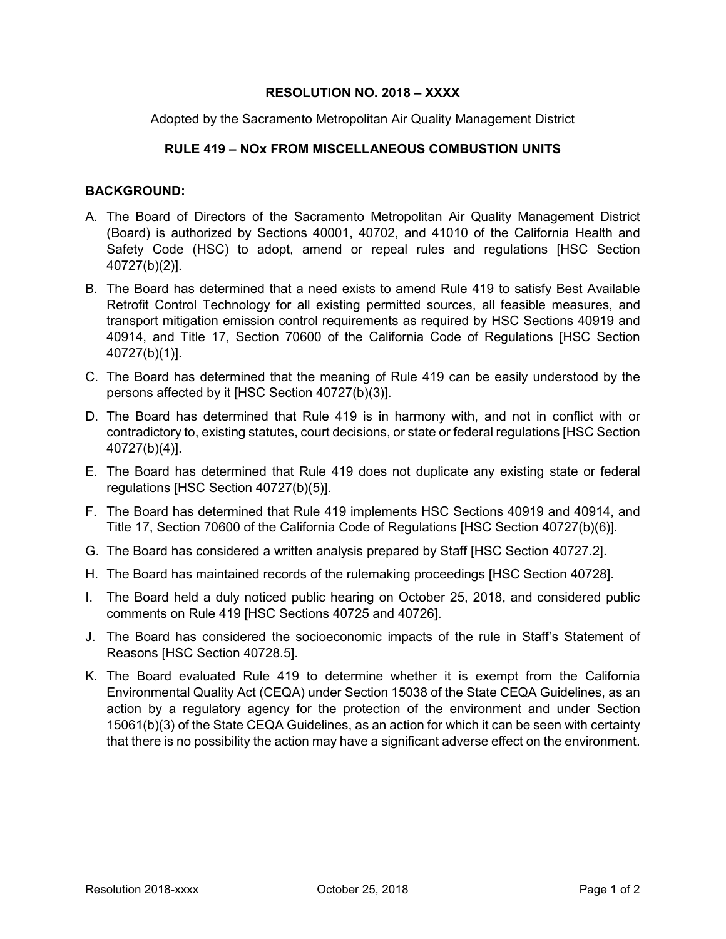## **RESOLUTION NO. 2018 – XXXX**

Adopted by the Sacramento Metropolitan Air Quality Management District

## **RULE 419 – NOx FROM MISCELLANEOUS COMBUSTION UNITS**

## **BACKGROUND:**

- A. The Board of Directors of the Sacramento Metropolitan Air Quality Management District (Board) is authorized by Sections 40001, 40702, and 41010 of the California Health and Safety Code (HSC) to adopt, amend or repeal rules and regulations [HSC Section 40727(b)(2)].
- B. The Board has determined that a need exists to amend Rule 419 to satisfy Best Available Retrofit Control Technology for all existing permitted sources, all feasible measures, and transport mitigation emission control requirements as required by HSC Sections 40919 and 40914, and Title 17, Section 70600 of the California Code of Regulations [HSC Section 40727(b)(1)].
- C. The Board has determined that the meaning of Rule 419 can be easily understood by the persons affected by it [HSC Section 40727(b)(3)].
- D. The Board has determined that Rule 419 is in harmony with, and not in conflict with or contradictory to, existing statutes, court decisions, or state or federal regulations [HSC Section 40727(b)(4)].
- E. The Board has determined that Rule 419 does not duplicate any existing state or federal regulations [HSC Section 40727(b)(5)].
- F. The Board has determined that Rule 419 implements HSC Sections 40919 and 40914, and Title 17, Section 70600 of the California Code of Regulations [HSC Section 40727(b)(6)].
- G. The Board has considered a written analysis prepared by Staff [HSC Section 40727.2].
- H. The Board has maintained records of the rulemaking proceedings [HSC Section 40728].
- I. The Board held a duly noticed public hearing on October 25, 2018, and considered public comments on Rule 419 [HSC Sections 40725 and 40726].
- J. The Board has considered the socioeconomic impacts of the rule in Staff's Statement of Reasons [HSC Section 40728.5].
- K. The Board evaluated Rule 419 to determine whether it is exempt from the California Environmental Quality Act (CEQA) under Section 15038 of the State CEQA Guidelines, as an action by a regulatory agency for the protection of the environment and under Section 15061(b)(3) of the State CEQA Guidelines, as an action for which it can be seen with certainty that there is no possibility the action may have a significant adverse effect on the environment.